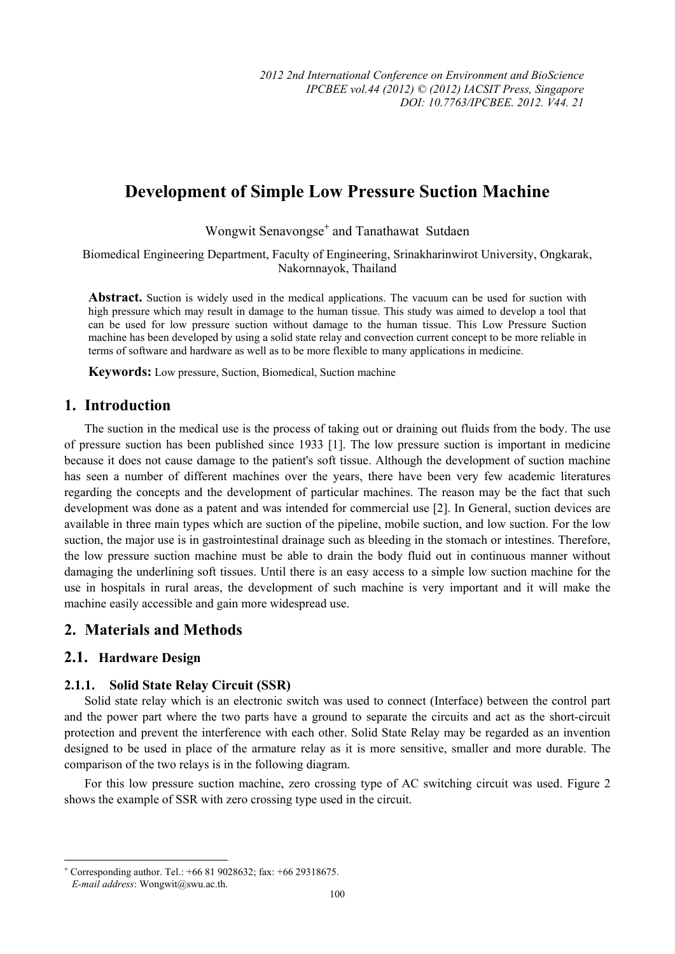# **Development of Simple Low Pressure Suction Machine**

Wongwit Senavongse<sup>+</sup> and Tanathawat Sutdaen

Biomedical Engineering Department, Faculty of Engineering, Srinakharinwirot University, Ongkarak, Nakornnayok, Thailand

**Abstract.** Suction is widely used in the medical applications. The vacuum can be used for suction with high pressure which may result in damage to the human tissue. This study was aimed to develop a tool that can be used for low pressure suction without damage to the human tissue. This Low Pressure Suction machine has been developed by using a solid state relay and convection current concept to be more reliable in terms of software and hardware as well as to be more flexible to many applications in medicine.

**Keywords:** Low pressure, Suction, Biomedical, Suction machine

## **1. Introduction**

The suction in the medical use is the process of taking out or draining out fluids from the body. The use of pressure suction has been published since 1933 [1]. The low pressure suction is important in medicine because it does not cause damage to the patient's soft tissue. Although the development of suction machine has seen a number of different machines over the years, there have been very few academic literatures regarding the concepts and the development of particular machines. The reason may be the fact that such development was done as a patent and was intended for commercial use [2]. In General, suction devices are available in three main types which are suction of the pipeline, mobile suction, and low suction. For the low suction, the major use is in gastrointestinal drainage such as bleeding in the stomach or intestines. Therefore, the low pressure suction machine must be able to drain the body fluid out in continuous manner without damaging the underlining soft tissues. Until there is an easy access to a simple low suction machine for the use in hospitals in rural areas, the development of such machine is very important and it will make the machine easily accessible and gain more widespread use.

## **2. Materials and Methods**

## **2.1. Hardware Design**

### **2.1.1. Solid State Relay Circuit (SSR)**

Solid state relay which is an electronic switch was used to connect (Interface) between the control part and the power part where the two parts have a ground to separate the circuits and act as the short-circuit protection and prevent the interference with each other. Solid State Relay may be regarded as an invention designed to be used in place of the armature relay as it is more sensitive, smaller and more durable. The comparison of the two relays is in the following diagram.

For this low pressure suction machine, zero crossing type of AC switching circuit was used. Figure 2 shows the example of SSR with zero crossing type used in the circuit.

 $\overline{a}$ 

<sup>+</sup> Corresponding author. Tel.: +66 81 9028632; fax: +66 29318675.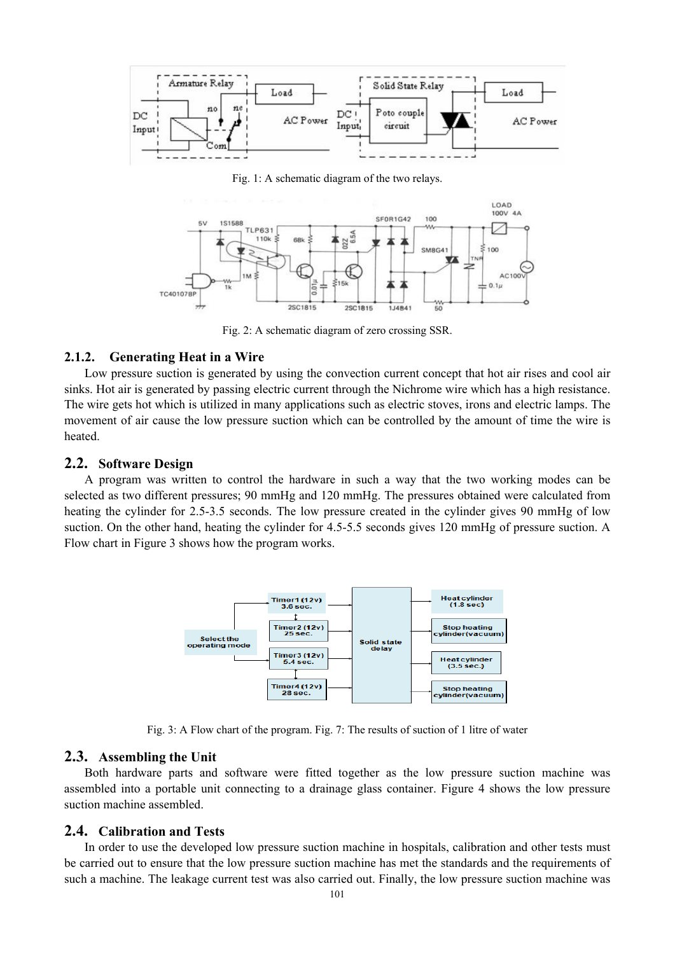

Fig. 1: A schematic diagram of the two relays.



Fig. 2: A schematic diagram of zero crossing SSR.

### **2.1.2. Generating Heat in a Wire**

Low pressure suction is generated by using the convection current concept that hot air rises and cool air sinks. Hot air is generated by passing electric current through the Nichrome wire which has a high resistance. The wire gets hot which is utilized in many applications such as electric stoves, irons and electric lamps. The movement of air cause the low pressure suction which can be controlled by the amount of time the wire is heated.

### **2.2. Software Design**

A program was written to control the hardware in such a way that the two working modes can be selected as two different pressures; 90 mmHg and 120 mmHg. The pressures obtained were calculated from heating the cylinder for 2.5-3.5 seconds. The low pressure created in the cylinder gives 90 mmHg of low suction. On the other hand, heating the cylinder for 4.5-5.5 seconds gives 120 mmHg of pressure suction. A Flow chart in Figure 3 shows how the program works.



Fig. 3: A Flow chart of the program. Fig. 7: The results of suction of 1 litre of water

#### **2.3. Assembling the Unit**

Both hardware parts and software were fitted together as the low pressure suction machine was assembled into a portable unit connecting to a drainage glass container. Figure 4 shows the low pressure suction machine assembled.

#### **2.4. Calibration and Tests**

In order to use the developed low pressure suction machine in hospitals, calibration and other tests must be carried out to ensure that the low pressure suction machine has met the standards and the requirements of such a machine. The leakage current test was also carried out. Finally, the low pressure suction machine was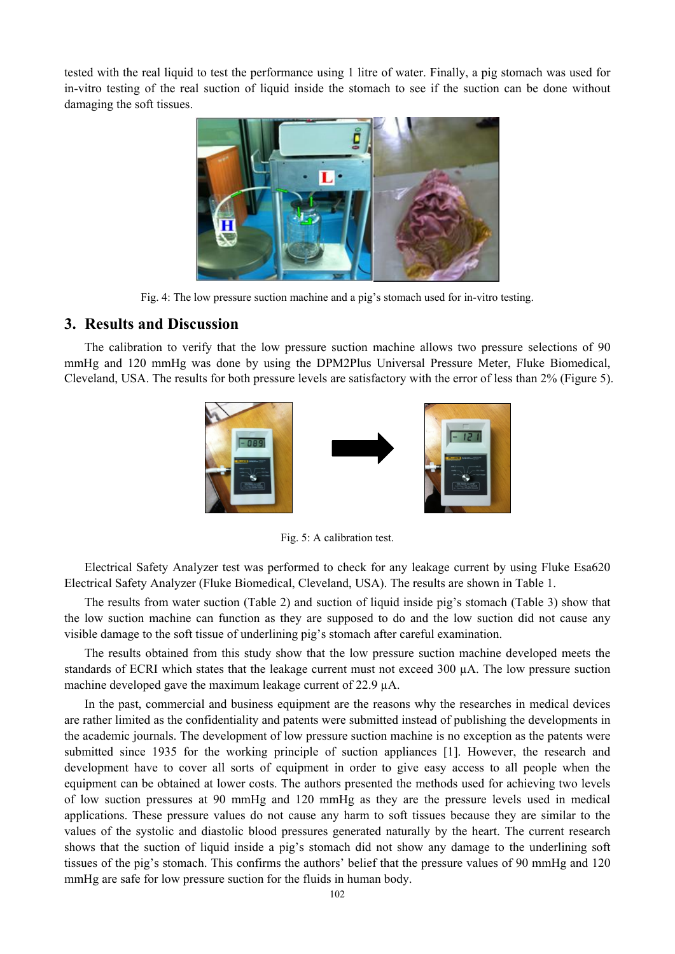tested with the real liquid to test the performance using 1 litre of water. Finally, a pig stomach was used for in-vitro testing of the real suction of liquid inside the stomach to see if the suction can be done without damaging the soft tissues.



Fig. 4: The low pressure suction machine and a pig's stomach used for in-vitro testing.

### **3. Results and Discussion**

The calibration to verify that the low pressure suction machine allows two pressure selections of 90 mmHg and 120 mmHg was done by using the DPM2Plus Universal Pressure Meter, Fluke Biomedical, Cleveland, USA. The results for both pressure levels are satisfactory with the error of less than 2% (Figure 5).



Fig. 5: A calibration test.

Electrical Safety Analyzer test was performed to check for any leakage current by using Fluke Esa620 Electrical Safety Analyzer (Fluke Biomedical, Cleveland, USA). The results are shown in Table 1.

The results from water suction (Table 2) and suction of liquid inside pig's stomach (Table 3) show that the low suction machine can function as they are supposed to do and the low suction did not cause any visible damage to the soft tissue of underlining pig's stomach after careful examination.

The results obtained from this study show that the low pressure suction machine developed meets the standards of ECRI which states that the leakage current must not exceed  $300 \mu A$ . The low pressure suction machine developed gave the maximum leakage current of 22.9  $\mu$ A.

In the past, commercial and business equipment are the reasons why the researches in medical devices are rather limited as the confidentiality and patents were submitted instead of publishing the developments in the academic journals. The development of low pressure suction machine is no exception as the patents were submitted since 1935 for the working principle of suction appliances [1]. However, the research and development have to cover all sorts of equipment in order to give easy access to all people when the equipment can be obtained at lower costs. The authors presented the methods used for achieving two levels of low suction pressures at 90 mmHg and 120 mmHg as they are the pressure levels used in medical applications. These pressure values do not cause any harm to soft tissues because they are similar to the values of the systolic and diastolic blood pressures generated naturally by the heart. The current research shows that the suction of liquid inside a pig's stomach did not show any damage to the underlining soft tissues of the pig's stomach. This confirms the authors' belief that the pressure values of 90 mmHg and 120 mmHg are safe for low pressure suction for the fluids in human body.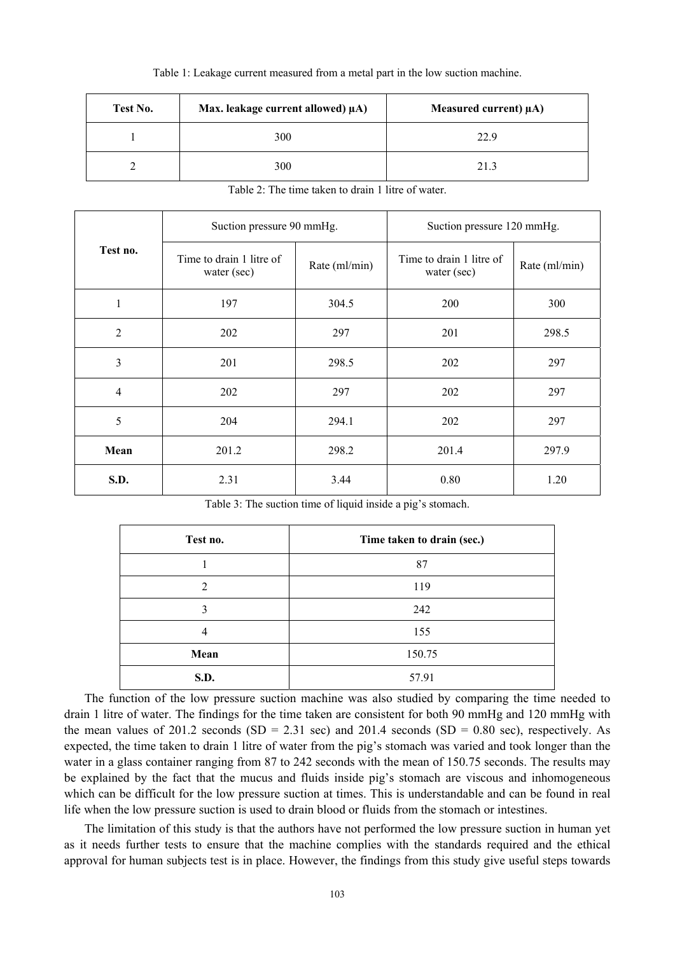#### Table 1: Leakage current measured from a metal part in the low suction machine.

| Test No. | Max. leakage current allowed) $\mu$ A) | Measured current) $\mu$ A) |  |
|----------|----------------------------------------|----------------------------|--|
|          | 300                                    | 22.9                       |  |
|          | 300                                    | 21.3                       |  |

| Test no.       | Suction pressure 90 mmHg.               |               | Suction pressure 120 mmHg.              |               |
|----------------|-----------------------------------------|---------------|-----------------------------------------|---------------|
|                | Time to drain 1 litre of<br>water (sec) | Rate (ml/min) | Time to drain 1 litre of<br>water (sec) | Rate (ml/min) |
| 1              | 197                                     | 304.5         | 200                                     | 300           |
| $\overline{2}$ | 202                                     | 297           | 201                                     | 298.5         |
| 3              | 201                                     | 298.5         | 202                                     | 297           |
| $\overline{4}$ | 202                                     | 297           | 202                                     | 297           |
| 5              | 204                                     | 294.1         | 202                                     | 297           |
| Mean           | 201.2                                   | 298.2         | 201.4                                   | 297.9         |
| S.D.           | 2.31                                    | 3.44          | 0.80                                    | 1.20          |

Table 2: The time taken to drain 1 litre of water.

Table 3: The suction time of liquid inside a pig's stomach.

| Test no.       | Time taken to drain (sec.) |
|----------------|----------------------------|
|                | 87                         |
| $\overline{2}$ | 119                        |
| 3              | 242                        |
| 4              | 155                        |
| Mean           | 150.75                     |
| <b>S.D.</b>    | 57.91                      |

The function of the low pressure suction machine was also studied by comparing the time needed to drain 1 litre of water. The findings for the time taken are consistent for both 90 mmHg and 120 mmHg with the mean values of 201.2 seconds (SD = 2.31 sec) and 201.4 seconds (SD = 0.80 sec), respectively. As expected, the time taken to drain 1 litre of water from the pig's stomach was varied and took longer than the water in a glass container ranging from 87 to 242 seconds with the mean of 150.75 seconds. The results may be explained by the fact that the mucus and fluids inside pig's stomach are viscous and inhomogeneous which can be difficult for the low pressure suction at times. This is understandable and can be found in real life when the low pressure suction is used to drain blood or fluids from the stomach or intestines.

The limitation of this study is that the authors have not performed the low pressure suction in human yet as it needs further tests to ensure that the machine complies with the standards required and the ethical approval for human subjects test is in place. However, the findings from this study give useful steps towards